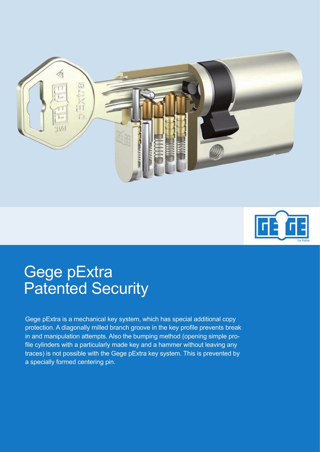



## Gege pExtra Patented Security

Gege pExtra is a mechanical key system, which has special additional copy protection. A diagonally milled branch groove in the key profile prevents break in and manipulation attempts. Also the bumping method (opening simple profile cylinders with a particularly made key and a hammer without leaving any traces) is not possible with the Gege pExtra key system. This is prevented by a specially formed centering pin.